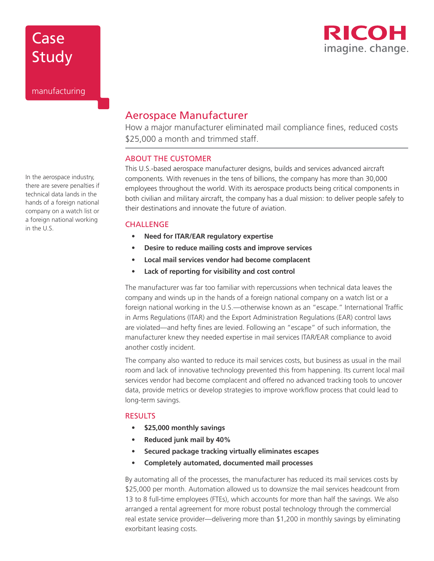# Case Study



manufacturing

In the aerospace industry, there are severe penalties if technical data lands in the hands of a foreign national company on a watch list or a foreign national working in the U.S.

### Aerospace Manufacturer

How a major manufacturer eliminated mail compliance fines, reduced costs \$25,000 a month and trimmed staff.

#### ABOUT THE CUSTOMER

This U.S.-based aerospace manufacturer designs, builds and services advanced aircraft components. With revenues in the tens of billions, the company has more than 30,000 employees throughout the world. With its aerospace products being critical components in both civilian and military aircraft, the company has a dual mission: to deliver people safely to their destinations and innovate the future of aviation.

#### **CHALLENGE**

- **• Need for ITAR/EAR regulatory expertise**
- **• Desire to reduce mailing costs and improve services**
- **• Local mail services vendor had become complacent**
- **• Lack of reporting for visibility and cost control**

The manufacturer was far too familiar with repercussions when technical data leaves the company and winds up in the hands of a foreign national company on a watch list or a foreign national working in the U.S.—otherwise known as an "escape." International Traffic in Arms Regulations (ITAR) and the Export Administration Regulations (EAR) control laws are violated—and hefty fines are levied. Following an "escape" of such information, the manufacturer knew they needed expertise in mail services ITAR/EAR compliance to avoid another costly incident.

The company also wanted to reduce its mail services costs, but business as usual in the mail room and lack of innovative technology prevented this from happening. Its current local mail services vendor had become complacent and offered no advanced tracking tools to uncover data, provide metrics or develop strategies to improve workflow process that could lead to long-term savings.

#### **RESULTS**

- **• \$25,000 monthly savings**
- **• Reduced junk mail by 40%**
- **• Secured package tracking virtually eliminates escapes**
- **• Completely automated, documented mail processes**

By automating all of the processes, the manufacturer has reduced its mail services costs by \$25,000 per month. Automation allowed us to downsize the mail services headcount from 13 to 8 full-time employees (FTEs), which accounts for more than half the savings. We also arranged a rental agreement for more robust postal technology through the commercial real estate service provider—delivering more than \$1,200 in monthly savings by eliminating exorbitant leasing costs.